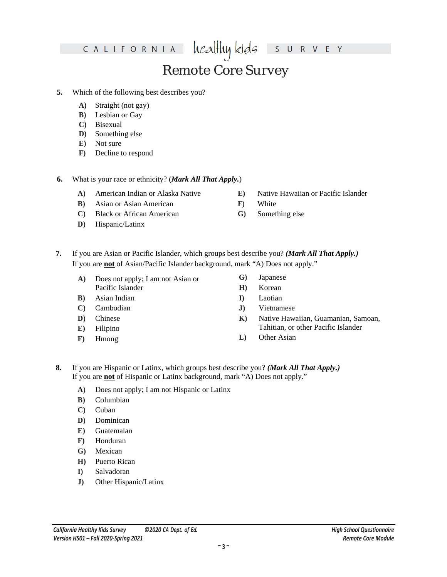healthy kids R V E Y  $\mathsf{S}$  $\cup$ 

## Remote Core Survey

- **5.** Which of the following best describes you?
	- **A)** Straight (not gay)
	- **B)** Lesbian or Gay
	- **C)** Bisexual
	- **D)** Something else
	- **E)** Not sure
	- **F)** Decline to respond
- **6.** What is your race or ethnicity? (*Mark All That Apply.*)
	- **A)** American Indian or Alaska Native
	- **B)** Asian or Asian American
	- **C)** Black or African American
	- **D)** Hispanic or Latinx
- **E)** Native Hawaiian or Pacific Islander
- **F)** White
- **G)** Something else
- **7.** If you are Asian or Pacific Islander, which groups best describe you? *(Mark All That Apply.)* If you are **not** of Asian or Pacific Islander background, mark "A) Does not apply."
	- **A)** Does not apply; I am not Asian or Pacific Islander
	- **B)** Asian Indian
	- **C)** Cambodian
	- **D)** Chinese
	- **E)** Filipino
	- **F)** Hmong
- **G)** Japanese
- **H)** Korean
- **I)** Laotian
- **J)** Vietnamese
- **K)** Native Hawaiian, Guamanian, Samoan, Tahitian, or other Pacific Islander
- **L)** Other Asian
- **8.** If you are Hispanic or Latinx, which groups best describe you? *(Mark All That Apply.)* If you are **not** of Hispanic or Latinx background, mark "A) Does not apply."
	- **A)** Does not apply; I am not Hispanic or Latinx
	- **B)** Columbian
	- **C)** Cuban
	- **D)** Dominican
	- **E)** Guatemalan
	- **F)** Honduran
	- **G)** Mexican
	- **H)** Puerto Rican
	- **I)** Salvadoran
	- **J)** Other Hispanic or Latinx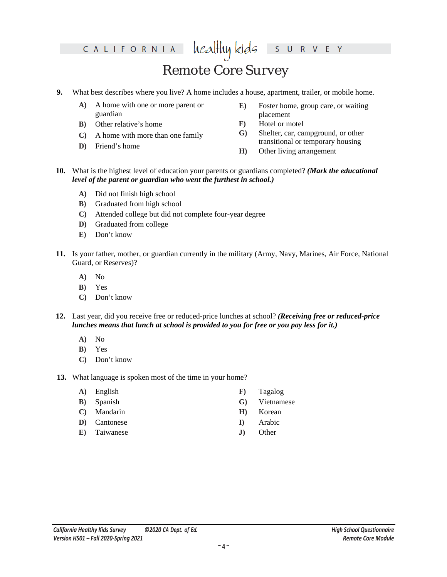## Remote Core Survey

healthy kids

- **9.** What best describes where you live? A home includes a house, apartment, trailer, or mobile home.
	- **A)** A home with one or more parent or guardian
	- **B)** Other relative's home
	- **C)** A home with more than one family
	- **D)** Friend's home
- **E)** Foster home, group care, or waiting placement

R V E Y

- **F)** Hotel or motel
- **G)** Shelter, car, campground, or other transitional or temporary housing
- **H)** Other living arrangement

 $S$  U

- **10.** What is the highest level of education your parents or guardians completed? *(Mark the educational level of the parent or guardian who went the furthest in school.)*
	- **A)** Did not finish high school
	- **B)** Graduated from high school
	- **C)** Attended college but did not complete four-year degree
	- **D)** Graduated from college
	- **E)** Don't know
- **11.** Is your father, mother, or guardian currently in the military (Army, Navy, Marines, Air Force, National Guard, or Reserves)?
	- **A)** No
	- **B)** Yes
	- **C)** Don't know
- **12.** Last year, did you receive free or reduced-price lunches at school? *(Receiving free or reduced-price lunches means that lunch at school is provided to you for free or you pay less for it.)*
	- **A)** No
	- **B)** Yes
	- **C)** Don't know
- **13.** What language is spoken most of the time in your home?
	- **A)** English
	- **B)** Spanish
	- **C)** Mandarin
	- **D)** Cantonese
	- **E)** Taiwanese
- **F)** Tagalog
- **G)** Vietnamese
- **H)** Korean
- **I)** Arabic
- **J)** Other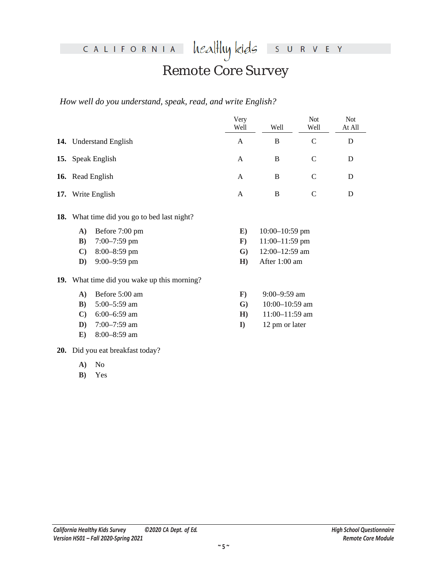heal<del>l</del>luy kids S U R V E Y

## Remote Core Survey

*How well do you understand, speak, read, and write English?*

|              |                                                    | Very<br>Well | Well               | Not<br>Well   | <b>Not</b><br>At All |  |  |  |
|--------------|----------------------------------------------------|--------------|--------------------|---------------|----------------------|--|--|--|
|              | 14. Understand English                             | $\mathsf{A}$ | <sub>B</sub>       | $\mathsf{C}$  | D                    |  |  |  |
|              |                                                    | A            | B                  | $\mathsf{C}$  | D                    |  |  |  |
|              | 15. Speak English                                  |              |                    |               |                      |  |  |  |
|              | 16. Read English                                   | A            | B                  | $\mathcal{C}$ | D                    |  |  |  |
|              | 17. Write English                                  | $\mathsf{A}$ | B                  | D             |                      |  |  |  |
|              | <b>18.</b> What time did you go to bed last night? |              |                    |               |                      |  |  |  |
| $\mathbf{A}$ | Before 7:00 pm                                     | E)           | $10:00 - 10:59$ pm |               |                      |  |  |  |
| $\mathbf{B}$ | $7:00 - 7:59$ pm                                   | $\mathbf{F}$ | $11:00-11:59$ pm   |               |                      |  |  |  |
| $\mathbf{C}$ | $8:00 - 8:59$ pm                                   | $\mathbf{G}$ | 12:00-12:59 am     |               |                      |  |  |  |
| $\mathbf{D}$ | $9:00 - 9:59$ pm                                   | H)           | After 1:00 am      |               |                      |  |  |  |
|              | 19. What time did you wake up this morning?        |              |                    |               |                      |  |  |  |
| $\mathbf{A}$ | Before 5:00 am                                     | $\mathbf{F}$ | 9:00-9:59 am       |               |                      |  |  |  |
| $\bf{B}$     | $5:00-5:59$ am                                     | $\mathbf{G}$ | 10:00-10:59 am     |               |                      |  |  |  |
| $\mathbf{C}$ | $6:00-6:59$ am                                     | H)           | 11:00-11:59 am     |               |                      |  |  |  |
| D)           | $7:00 - 7:59$ am                                   | $\mathbf{I}$ | 12 pm or later     |               |                      |  |  |  |
| E)           | 8:00-8:59 am                                       |              |                    |               |                      |  |  |  |

**20.** Did you eat breakfast today?

**A)** No

**B)** Yes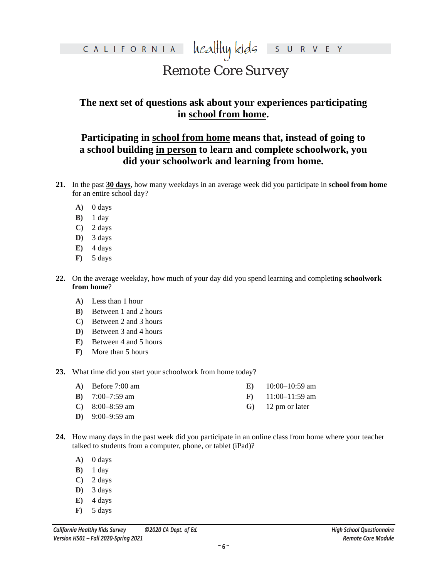### healthy kids CALIFORNIA R V E Y  $S$  U

## Remote Core Survey

### **The next set of questions ask about your experiences participating in school from home.**

### **Participating in school from home means that, instead of going to a school building in person to learn and complete schoolwork, you did your schoolwork and learning from home.**

- **21.** In the past **30 days**, how many weekdays in an average week did you participate in **school from home** for an entire school day?
	- **A)** 0 days
	- **B)** 1 day
	- **C)** 2 days
	- **D)** 3 days
	- $E)$  4 days
	- **F)** 5 days
- **22.** On the average weekday, how much of your day did you spend learning and completing **schoolwork from home**?
	- **A)** Less than 1 hour
	- **B)** Between 1 and 2 hours
	- **C)** Between 2 and 3 hours
	- **D)** Between 3 and 4 hours
	- **E)** Between 4 and 5 hours
	- **F)** More than 5 hours
- **23.** What time did you start your schoolwork from home today?
	- **A)** Before 7:00 am **B)** 7:00–7:59 am **C)** 8:00–8:59 am **D)** 9:00–9:59 am **E)** 10:00–10:59 am **F)** 11:00–11:59 am **G)** 12 pm or later
- **24.** How many days in the past week did you participate in an online class from home where your teacher talked to students from a computer, phone, or tablet (iPad)?
	- **A)** 0 days
	- **B)** 1 day
	- **C)** 2 days
	- **D)** 3 days
	- **E)** 4 days
	- **F)** 5 days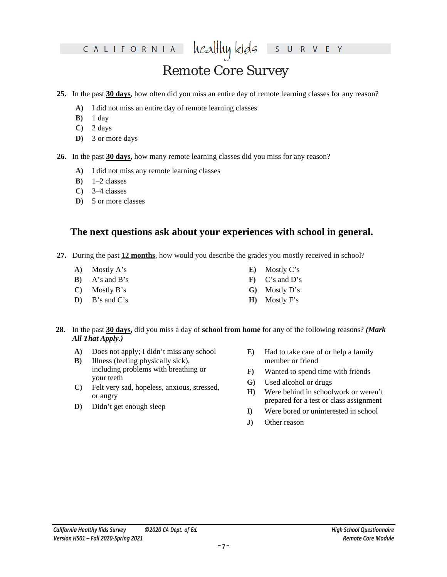healthy kids R V E Y  $S$  U

## Remote Core Survey

- **25.** In the past **30 days**, how often did you miss an entire day of remote learning classes for any reason?
	- **A)** I did not miss an entire day of remote learning classes
	- **B)** 1 day
	- **C)** 2 days
	- **D)** 3 or more days
- **26.** In the past **30 days**, how many remote learning classes did you miss for any reason?
	- **A)** I did not miss any remote learning classes
	- **B)** 1–2 classes
	- **C)** 3–4 classes
	- **D)** 5 or more classes

### **The next questions ask about your experiences with school in general.**

- **27.** During the past **12 months**, how would you describe the grades you mostly received in school?
	- **A)** Mostly A's
	- **B)** A's and B's
	- **C)** Mostly B's
	- **D)** B's and C's
- **E)** Mostly C's
- **F)** C's and D's
- **G)** Mostly D's
- **H)** Mostly F's
- **28.** In the past **30 days,** did you miss a day of **school from home** for any of the following reasons? *(Mark All That Apply.)*
	- **A)** Does not apply; I didn't miss any school
	- **B)** Illness (feeling physically sick), including problems with breathing or your teeth
	- **C)** Felt very sad, hopeless, anxious, stressed, or angry
	- **D)** Didn't get enough sleep
- **E)** Had to take care of or help a family member or friend
- **F)** Wanted to spend time with friends
- **G)** Used alcohol or drugs
- **H)** Were behind in schoolwork or weren't prepared for a test or class assignment
- **I)** Were bored or uninterested in school
- **J)** Other reason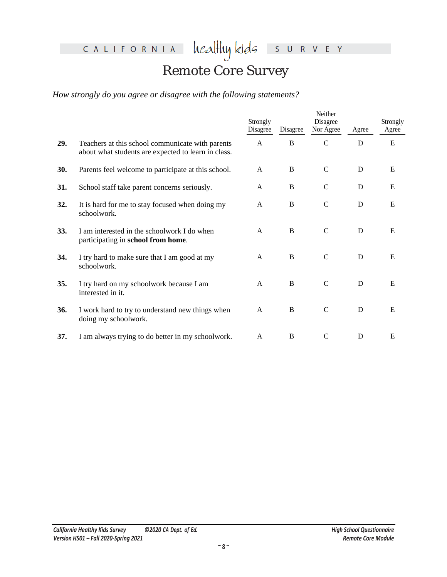healthykids surver

## Remote Core Survey

*How strongly do you agree or disagree with the following statements?*

|     |                                                                                                         | Strongly<br>Disagree | Disagree    | Neither<br>Disagree<br>Nor Agree | Agree | Strongly<br>Agree |
|-----|---------------------------------------------------------------------------------------------------------|----------------------|-------------|----------------------------------|-------|-------------------|
| 29. | Teachers at this school communicate with parents<br>about what students are expected to learn in class. | A                    | B           | $\mathsf{C}$                     | D     | E                 |
| 30. | Parents feel welcome to participate at this school.                                                     | A                    | B           | $\mathsf{C}$                     | D     | E                 |
| 31. | School staff take parent concerns seriously.                                                            | A                    | B           | $\mathsf{C}$                     | D     | E                 |
| 32. | It is hard for me to stay focused when doing my<br>schoolwork.                                          | A                    | B           | $\mathsf{C}$                     | D     | E                 |
| 33. | I am interested in the schoolwork I do when<br>participating in school from home.                       | A                    | B           | $\mathsf{C}$                     | D     | E                 |
| 34. | I try hard to make sure that I am good at my<br>schoolwork.                                             | A                    | $\mathbf B$ | $\mathsf{C}$                     | D     | E                 |
| 35. | I try hard on my schoolwork because I am<br>interested in it.                                           | A                    | B           | $\mathsf{C}$                     | D     | E                 |
| 36. | I work hard to try to understand new things when<br>doing my schoolwork.                                | A                    | B           | $\mathsf{C}$                     | D     | E                 |
| 37. | I am always trying to do better in my schoolwork.                                                       | A                    | B           | $\mathsf{C}$                     | D     | E                 |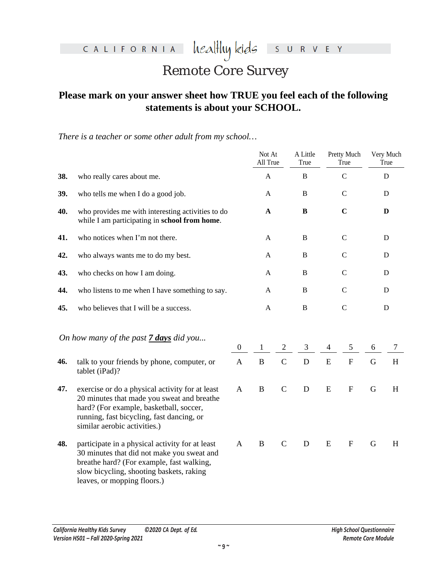healthykids survey

## Remote Core Survey

### **Please mark on your answer sheet how TRUE you feel each of the following statements is about your SCHOOL.**

*There is a teacher or some other adult from my school…*

|     |                                                                                                                                                                                                                       |                  | Not At<br>All True |                | A Little<br>True |                | Pretty Much<br>True       |             | Very Much<br>True |
|-----|-----------------------------------------------------------------------------------------------------------------------------------------------------------------------------------------------------------------------|------------------|--------------------|----------------|------------------|----------------|---------------------------|-------------|-------------------|
| 38. | who really cares about me.                                                                                                                                                                                            |                  | A                  |                | B                |                | $\mathcal{C}$             |             | D                 |
| 39. | who tells me when I do a good job.                                                                                                                                                                                    |                  | $\mathbf{A}$       |                | $\overline{B}$   |                | $\mathcal{C}$             |             | D                 |
| 40. | who provides me with interesting activities to do<br>while I am participating in school from home.                                                                                                                    |                  | $\mathbf{A}$       |                | $\, {\bf B}$     |                | $\mathbf C$               |             | D                 |
| 41. | who notices when I'm not there.                                                                                                                                                                                       |                  | $\mathbf{A}$       |                | B                |                | $\mathsf{C}$              |             | D                 |
| 42. | who always wants me to do my best.                                                                                                                                                                                    |                  | $\mathbf{A}$       |                | $\, {\bf B}$     |                | $\mathbf C$               |             | D                 |
| 43. | who checks on how I am doing.                                                                                                                                                                                         |                  | $\mathbf{A}$       |                | $\, {\bf B}$     |                | $\mathcal{C}$             |             | D                 |
| 44. | who listens to me when I have something to say.                                                                                                                                                                       |                  | A                  |                | $\, {\bf B}$     |                | $\mathsf{C}$              |             | D                 |
| 45. | who believes that I will be a success.                                                                                                                                                                                |                  | $\mathbf{A}$       |                | $\, {\bf B}$     |                | $\mathcal{C}$             |             | $\mathbf D$       |
|     | On how many of the past 7 days did you                                                                                                                                                                                | $\boldsymbol{0}$ | $\mathbf{1}$       | $\mathfrak{2}$ | $\mathfrak{Z}$   | $\overline{4}$ | $\mathfrak{S}$            | 6           | $\tau$            |
| 46. | talk to your friends by phone, computer, or<br>tablet (iPad)?                                                                                                                                                         | $\mathbf{A}$     | $\bf{B}$           | $\mathbf C$    | $\mathbf D$      | ${\bf E}$      | ${\bf F}$                 | $\mathbf G$ | H                 |
| 47. | exercise or do a physical activity for at least<br>20 minutes that made you sweat and breathe<br>hard? (For example, basketball, soccer,<br>running, fast bicycling, fast dancing, or<br>similar aerobic activities.) | $\mathbf{A}$     | $\, {\bf B}$       | $\mathbf C$    | D                | ${\bf E}$      | $\boldsymbol{\mathrm{F}}$ | $\mathbf G$ | $H_{\rm}$         |
| 48. | participate in a physical activity for at least<br>30 minutes that did not make you sweat and<br>breathe hard? (For example, fast walking,<br>slow bicycling, shooting baskets, raking<br>leaves, or mopping floors.) | A                | $\, {\bf B}$       | $\mathsf{C}$   | ${\bf D}$        | ${\bf E}$      | $\boldsymbol{F}$          | G           | H                 |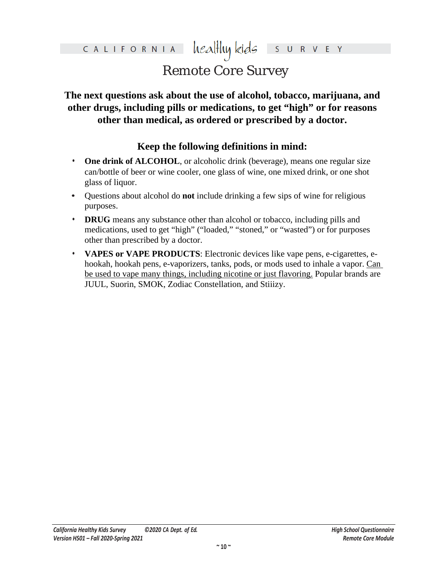### healthy kids CALIFORNIA  $\mathsf{S}$ R V E Y

## Remote Core Survey

### **The next questions ask about the use of alcohol, tobacco, marijuana, and other drugs, including pills or medications, to get "high" or for reasons other than medical, as ordered or prescribed by a doctor.**

### **Keep the following definitions in mind:**

- **One drink of ALCOHOL**, or alcoholic drink (beverage), means one regular size can/bottle of beer or wine cooler, one glass of wine, one mixed drink, or one shot glass of liquor.
- **•** Questions about alcohol do **not** include drinking a few sips of wine for religious purposes.
- **• DRUG** means any substance other than alcohol or tobacco, including pills and medications, used to get "high" ("loaded," "stoned," or "wasted") or for purposes other than prescribed by a doctor.
- **• VAPES or VAPE PRODUCTS**: Electronic devices like vape pens, e-cigarettes, ehookah, hookah pens, e-vaporizers, tanks, pods, or mods used to inhale a vapor. Can be used to vape many things, including nicotine or just flavoring. Popular brands are JUUL, Suorin, SMOK, Zodiac Constellation, and Stiiizy.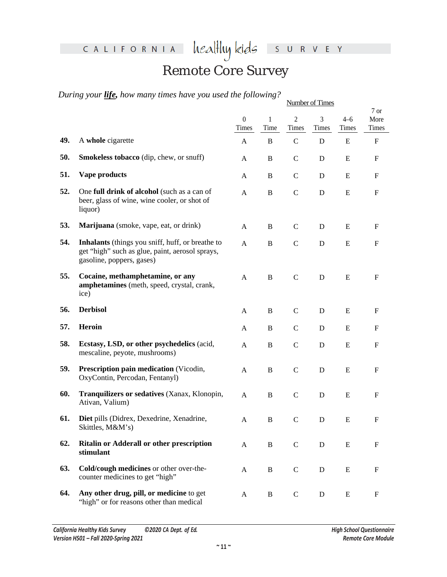healthykids survey

## Remote Core Survey

*During your life, how many times have you used the following?*

|     |                                                                                                                                  | <b>Number of Times</b>    |              |                         |             |                  |                           |
|-----|----------------------------------------------------------------------------------------------------------------------------------|---------------------------|--------------|-------------------------|-------------|------------------|---------------------------|
|     |                                                                                                                                  | $\boldsymbol{0}$<br>Times | 1<br>Time    | $\overline{2}$<br>Times | 3<br>Times  | $4 - 6$<br>Times | 7 or<br>More<br>Times     |
| 49. | A whole cigarette                                                                                                                | A                         | $\mathbf B$  | $\mathbf C$             | D           | E                | $\boldsymbol{\mathrm{F}}$ |
| 50. | Smokeless tobacco (dip, chew, or snuff)                                                                                          | A                         | $\, {\bf B}$ | $\mathbf C$             | D           | ${\bf E}$        | $\boldsymbol{\mathrm{F}}$ |
| 51. | Vape products                                                                                                                    | A                         | B            | $\mathbf C$             | D           | ${\bf E}$        | $\boldsymbol{\mathrm{F}}$ |
| 52. | One full drink of alcohol (such as a can of<br>beer, glass of wine, wine cooler, or shot of<br>liquor)                           | A                         | B            | $\mathbf C$             | D           | ${\bf E}$        | $\boldsymbol{\mathrm{F}}$ |
| 53. | Marijuana (smoke, vape, eat, or drink)                                                                                           | A                         | $\, {\bf B}$ | $\mathsf{C}$            | $\mathbf D$ | ${\bf E}$        | F                         |
| 54. | Inhalants (things you sniff, huff, or breathe to<br>get "high" such as glue, paint, aerosol sprays,<br>gasoline, poppers, gases) | A                         | $\, {\bf B}$ | $\mathcal{C}$           | ${\bf D}$   | ${\bf E}$        | $\mathbf F$               |
| 55. | Cocaine, methamphetamine, or any<br>amphetamines (meth, speed, crystal, crank,<br>ice)                                           | A                         | $\, {\bf B}$ | $\mathbf C$             | $\mathbf D$ | E                | F                         |
| 56. | <b>Derbisol</b>                                                                                                                  | A                         | $\mathbf B$  | $\mathbf C$             | D           | E                | F                         |
| 57. | Heroin                                                                                                                           | A                         | B            | $\mathbf C$             | D           | E                | F                         |
| 58. | Ecstasy, LSD, or other psychedelics (acid,<br>mescaline, peyote, mushrooms)                                                      | $\mathbf{A}$              | $\, {\bf B}$ | $\mathcal{C}$           | ${\bf D}$   | ${\bf E}$        | F                         |
| 59. | Prescription pain medication (Vicodin,<br>OxyContin, Percodan, Fentanyl)                                                         | A                         | $\, {\bf B}$ | $\mathsf C$             | ${\bf D}$   | ${\bf E}$        | $\boldsymbol{\mathrm{F}}$ |
| 60. | Tranquilizers or sedatives (Xanax, Klonopin,<br>Ativan, Valium)                                                                  | A                         | $\, {\bf B}$ | $\mathbf C$             | $\mathbf D$ | ${\bf E}$        | F                         |
| 61. | Diet pills (Didrex, Dexedrine, Xenadrine,<br>Skittles, M&M's)                                                                    | A                         | $\mathbf B$  | $\mathcal{C}$           | D           | E                | F                         |
| 62. | Ritalin or Adderall or other prescription<br>stimulant                                                                           | A                         | $\, {\bf B}$ | $\mathbf C$             | $\mathbf D$ | E                | $\boldsymbol{\mathrm{F}}$ |
| 63. | Cold/cough medicines or other over-the-<br>counter medicines to get "high"                                                       | $\mathbf{A}$              | $\, {\bf B}$ | $\mathsf{C}$            | $\mathbf D$ | E                | F                         |
| 64. | Any other drug, pill, or medicine to get<br>"high" or for reasons other than medical                                             | A                         | $\, {\bf B}$ | C                       | D           | E                | F                         |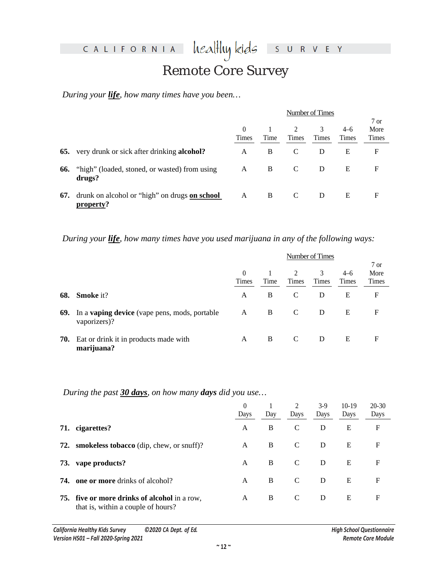healthy kids S U R V E Y

## Remote Core Survey

*During your life, how many times have you been…* 

|     |                                                              | Number of Times |      |       |       |       |       |
|-----|--------------------------------------------------------------|-----------------|------|-------|-------|-------|-------|
|     |                                                              |                 |      |       |       |       | 7 or  |
|     |                                                              | $\left($        |      | 2     | 3     | $4-6$ | More  |
|     |                                                              | Times           | Time | Times | Times | Times | Times |
|     | <b>65.</b> very drunk or sick after drinking <b>alcohol?</b> | A               | B    | C     | D     | E     | F     |
| 66. | "high" (loaded, stoned, or wasted) from using<br>drugs?      | A               | B    | C     | D     | E     | F     |
| 67. | drunk on alcohol or "high" on drugs on school<br>property?   | A               | B    |       | D     | E     | F     |

*During your life, how many times have you used marijuana in any of the following ways:*

|     |                                                                      | Number of Times   |      |                   |            |                         |                                         |
|-----|----------------------------------------------------------------------|-------------------|------|-------------------|------------|-------------------------|-----------------------------------------|
|     |                                                                      | $\theta$<br>Times | Time | 2<br><b>Times</b> | 3<br>Times | $4 - 6$<br><b>Times</b> | $7 \text{ or }$<br>More<br><b>Times</b> |
| 68. | <b>Smoke</b> it?                                                     | A                 | B    | C                 | D          | Е                       | F                                       |
| 69. | In a <b>vaping device</b> (vape pens, mods, portable<br>vaporizers)? | A                 | B    | C                 | D          | E                       | $\mathbf F$                             |
| 70. | Eat or drink it in products made with<br>marijuana?                  | A                 | B    | C                 | D          | E                       | F                                       |

*During the past 30 days, on how many days did you use…*

|     |                                                                                           | $\theta$<br>Days | Day | 2<br>Days | $3-9$<br>Days | $10-19$<br>Days | $20-30$<br>Days |
|-----|-------------------------------------------------------------------------------------------|------------------|-----|-----------|---------------|-----------------|-----------------|
| 71. | cigarettes?                                                                               | A                | B   | C         | D             | E               | F               |
| 72. | <b>smokeless tobacco</b> (dip, chew, or snuff)?                                           | A                | B   | C         | D             | E               | F               |
| 73. | vape products?                                                                            | A                | B   | C         | D             | E               | F               |
| 74. | <b>one or more</b> drinks of alcohol?                                                     | A                | B   | C         | D             | E               | F               |
|     | <b>75.</b> five or more drinks of alcohol in a row,<br>that is, within a couple of hours? | A                | B.  | C         | D             | E               | F               |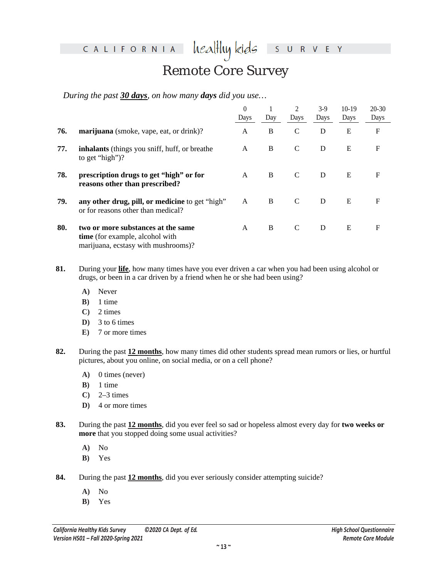heal<del>l</del>luy kids

S U R V E Y

## Remote Core Survey

*During the past 30 days, on how many days did you use…*

|     |                                                                                                              | $\theta$<br>Days | Day | 2<br>Days     | $3-9$<br>Days | $10-19$<br>Days | $20-30$<br>Days |
|-----|--------------------------------------------------------------------------------------------------------------|------------------|-----|---------------|---------------|-----------------|-----------------|
| 76. | marijuana (smoke, vape, eat, or drink)?                                                                      | A                | B   | $\mathcal{C}$ | D             | E               | F               |
| 77. | inhalants (things you sniff, huff, or breathe<br>to get "high")?                                             | A                | B   | C             | D             | E               | $\mathbf F$     |
| 78. | prescription drugs to get "high" or for<br>reasons other than prescribed?                                    | A                | B   | C             | D             | E               | F               |
| 79. | any other drug, pill, or medicine to get "high"<br>or for reasons other than medical?                        | A                | B   | C             | D             | E               | $\mathbf F$     |
| 80. | two or more substances at the same<br>time (for example, alcohol with<br>marijuana, ecstasy with mushrooms)? | A                | B   | C             | D             | E               | F               |

- **81.** During your **life**, how many times have you ever driven a car when you had been using alcohol or drugs, or been in a car driven by a friend when he or she had been using?
	- **A)** Never
	- **B)** 1 time
	- **C)** 2 times
	- **D)** 3 to 6 times
	- **E)** 7 or more times
- **82.** During the past **12 months**, how many times did other students spread mean rumors or lies, or hurtful pictures, about you online, on social media, or on a cell phone?
	- **A)** 0 times (never)
	- **B)** 1 time
	- **C)** 2–3 times
	- **D)** 4 or more times
- **83.** During the past **12 months**, did you ever feel so sad or hopeless almost every day for **two weeks or more** that you stopped doing some usual activities?
	- **A)** No
	- **B)** Yes
- **84.** During the past **12 months**, did you ever seriously consider attempting suicide?
	- **A)** No
	- **B)** Yes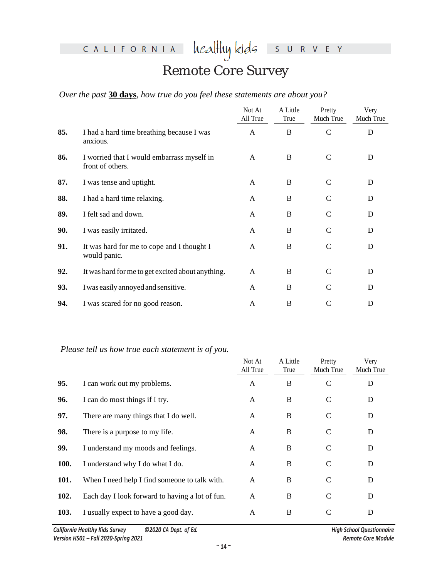healthykids survey

## Remote Core Survey

### *Over the past* **30 days***, how true do you feel these statements are about you?*

|     |                                                                | Not At<br>All True | A Little<br>True | Pretty<br>Much True | Very<br>Much True |
|-----|----------------------------------------------------------------|--------------------|------------------|---------------------|-------------------|
| 85. | I had a hard time breathing because I was<br>anxious.          | A                  | $\bf{B}$         | $\mathbf C$         | D                 |
| 86. | I worried that I would embarrass myself in<br>front of others. | A                  | B                | C                   | D                 |
| 87. | I was tense and uptight.                                       | A                  | B                | $\mathsf{C}$        | D                 |
| 88. | I had a hard time relaxing.                                    | A                  | B                | $\mathsf{C}$        | D                 |
| 89. | I felt sad and down.                                           | A                  | B                | $\mathsf{C}$        | D                 |
| 90. | I was easily irritated.                                        | A                  | B                | $\mathsf{C}$        | D                 |
| 91. | It was hard for me to cope and I thought I<br>would panic.     | A                  | B                | $\mathsf{C}$        | D                 |
| 92. | It was hard for me to get excited about anything.              | A                  | B                | C                   | D                 |
| 93. | I was easily annoyed and sensitive.                            | A                  | B                | C                   | D                 |
| 94. | I was scared for no good reason.                               | A                  | B                | C                   | D                 |

### *Please tell us how true each statement is of you.*

|             |                                                 | Not At<br>All True | A Little<br>True | Pretty<br>Much True | Very<br>Much True |
|-------------|-------------------------------------------------|--------------------|------------------|---------------------|-------------------|
| 95.         | I can work out my problems.                     | A                  | B                | C                   | D                 |
| 96.         | I can do most things if I try.                  | A                  | B                | C                   | D                 |
| 97.         | There are many things that I do well.           | A                  | B                | C                   | D                 |
| 98.         | There is a purpose to my life.                  | A                  | B                | C                   | D                 |
| 99.         | I understand my moods and feelings.             | A                  | B                | C                   | D                 |
| <b>100.</b> | I understand why I do what I do.                | A                  | $\bf{B}$         | C                   | D                 |
| <b>101.</b> | When I need help I find someone to talk with.   | A                  | B                | C                   | D                 |
| 102.        | Each day I look forward to having a lot of fun. | A                  | B                | C                   | D                 |
| 103.        | I usually expect to have a good day.            | A                  | B                | C                   | D                 |